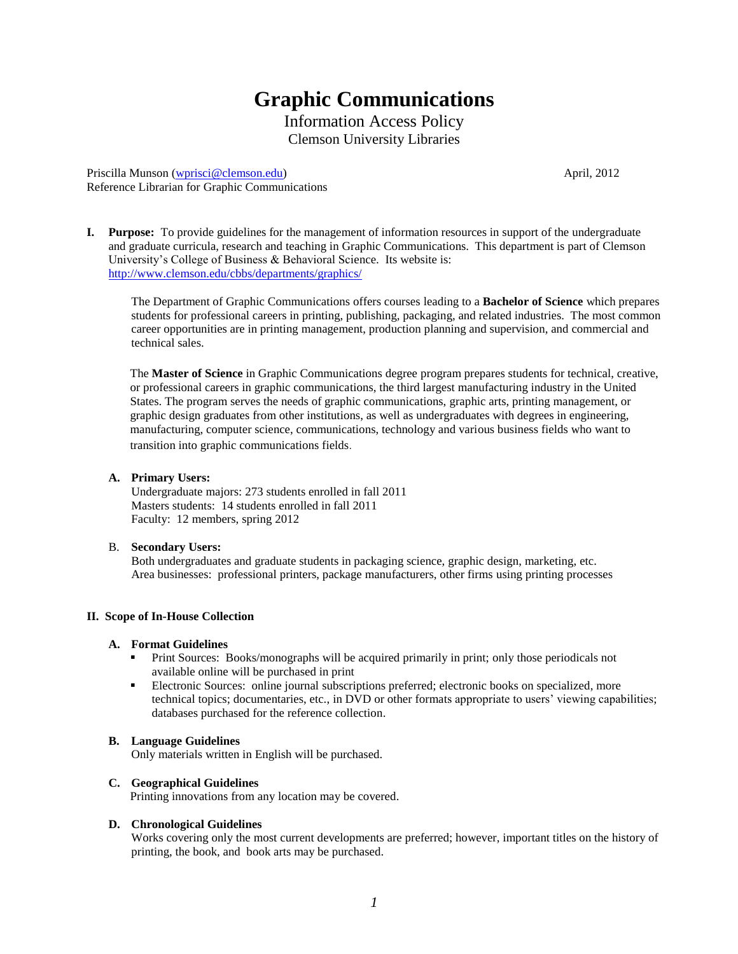# **Graphic Communications**

Information Access Policy Clemson University Libraries

Priscilla Munson [\(wprisci@clemson.edu\)](mailto:wprisci@clemson.edu) April, 2012 Reference Librarian for Graphic Communications

**I. Purpose:** To provide guidelines for the management of information resources in support of the undergraduate and graduate curricula, research and teaching in Graphic Communications. This department is part of Clemson University's College of Business & Behavioral Science. Its website is: <http://www.clemson.edu/cbbs/departments/graphics/>

The Department of Graphic Communications offers courses leading to a **Bachelor of Science** which prepares students for professional careers in printing, publishing, packaging, and related industries. The most common career opportunities are in printing management, production planning and supervision, and commercial and technical sales.

The **Master of Science** in Graphic Communications degree program prepares students for technical, creative, or professional careers in graphic communications, the third largest manufacturing industry in the United States. The program serves the needs of graphic communications, graphic arts, printing management, or graphic design graduates from other institutions, as well as undergraduates with degrees in engineering, manufacturing, computer science, communications, technology and various business fields who want to transition into graphic communications fields.

#### **A. Primary Users:**

Undergraduate majors: 273 students enrolled in fall 2011 Masters students: 14 students enrolled in fall 2011 Faculty: 12 members, spring 2012

# B. **Secondary Users:**

Both undergraduates and graduate students in packaging science, graphic design, marketing, etc. Area businesses: professional printers, package manufacturers, other firms using printing processes

# **II. Scope of In-House Collection**

#### **A. Format Guidelines**

- Print Sources: Books/monographs will be acquired primarily in print; only those periodicals not available online will be purchased in print
- Electronic Sources: online journal subscriptions preferred; electronic books on specialized, more technical topics; documentaries, etc., in DVD or other formats appropriate to users' viewing capabilities; databases purchased for the reference collection.

#### **B. Language Guidelines**

Only materials written in English will be purchased.

#### **C. Geographical Guidelines**

Printing innovations from any location may be covered.

# **D. Chronological Guidelines**

Works covering only the most current developments are preferred; however, important titles on the history of printing, the book, and book arts may be purchased.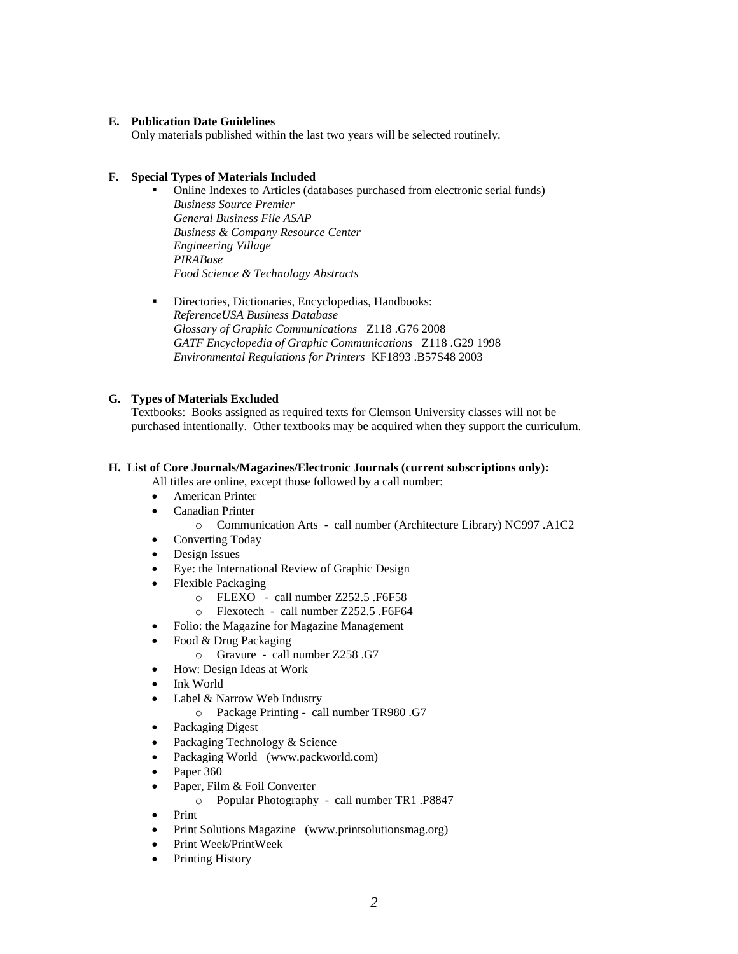#### **E. Publication Date Guidelines**

Only materials published within the last two years will be selected routinely.

## **F. Special Types of Materials Included**

- Online Indexes to Articles (databases purchased from electronic serial funds) *Business Source Premier General Business File ASAP Business & Company Resource Center Engineering Village PIRABase Food Science & Technology Abstracts*
- Directories, Dictionaries, Encyclopedias, Handbooks: *ReferenceUSA Business Database Glossary of Graphic Communications* Z118 .G76 2008 *GATF Encyclopedia of Graphic Communications* Z118 .G29 1998 *Environmental Regulations for Printers* KF1893 .B57S48 2003

# **G. Types of Materials Excluded**

Textbooks: Books assigned as required texts for Clemson University classes will not be purchased intentionally. Other textbooks may be acquired when they support the curriculum.

#### **H. List of Core Journals/Magazines/Electronic Journals (current subscriptions only):**

All titles are online, except those followed by a call number:

- American Printer
- Canadian Printer
	- o Communication Arts call number (Architecture Library) NC997 .A1C2
- Converting Today
- Design Issues
- Eye: the International Review of Graphic Design
- Flexible Packaging
	- o FLEXO call number Z252.5 .F6F58
	- o Flexotech call number Z252.5 .F6F64
- Folio: the Magazine for Magazine Management
- Food & Drug Packaging
	- o Gravure call number Z258 .G7
- How: Design Ideas at Work
- Ink World
- Label & Narrow Web Industry
	- o Package Printing call number TR980 .G7
- Packaging Digest
- Packaging Technology & Science
- Packaging World (www.packworld.com)
- $\bullet$  Paper 360
- Paper, Film & Foil Converter
	- o Popular Photography call number TR1 .P8847
- $\bullet$  Print
- Print Solutions Magazine (www.printsolutionsmag.org)
- Print Week/PrintWeek
- Printing History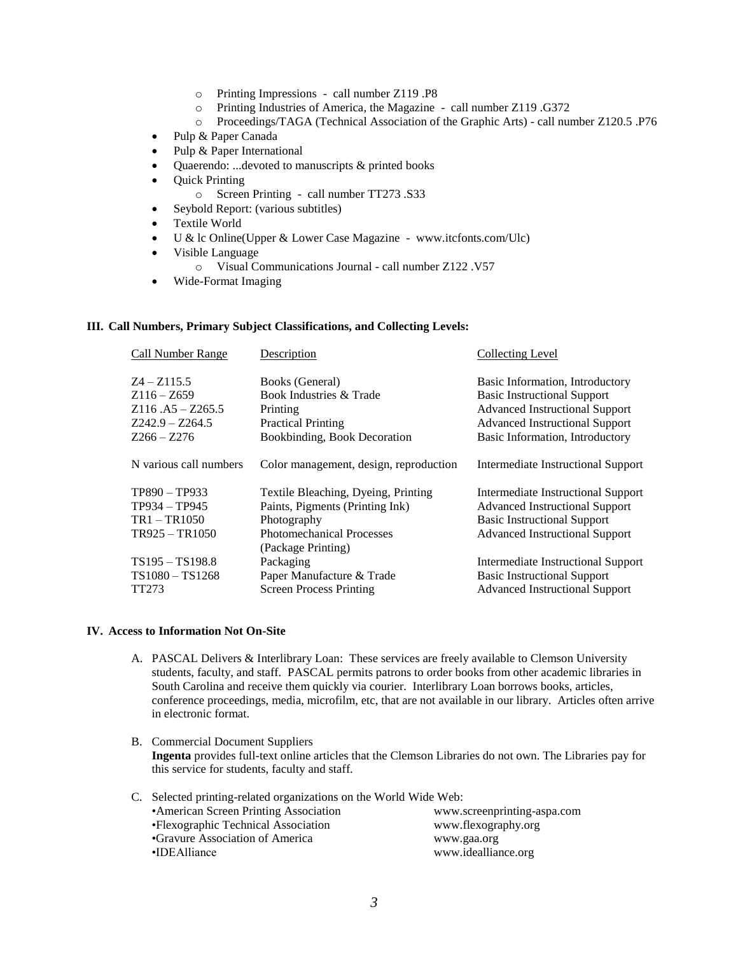- o Printing Impressions call number Z119 .P8
- o Printing Industries of America, the Magazine call number Z119 .G372
- o Proceedings/TAGA (Technical Association of the Graphic Arts) call number Z120.5 .P76
- Pulp & Paper Canada
- Pulp & Paper International
- Quaerendo: ...devoted to manuscripts & printed books
- Quick Printing
	- o Screen Printing call number TT273 .S33
- Seybold Report: (various subtitles)
- Textile World
- U & lc Online(Upper & Lower Case Magazine www.itcfonts.com/Ulc)
- Visible Language
	- o Visual Communications Journal call number Z122 .V57
- Wide-Format Imaging

#### **III. Call Numbers, Primary Subject Classifications, and Collecting Levels:**

| Call Number Range      | Description                            | Collecting Level                      |
|------------------------|----------------------------------------|---------------------------------------|
| $Z_4 - Z_115.5$        | Books (General)                        | Basic Information, Introductory       |
| $Z116 - Z659$          | Book Industries & Trade                | <b>Basic Instructional Support</b>    |
| $Z116.A5 - Z265.5$     | Printing                               | <b>Advanced Instructional Support</b> |
| Z242.9 - Z264.5        | <b>Practical Printing</b>              | <b>Advanced Instructional Support</b> |
| $Z266 - Z276$          | Bookbinding, Book Decoration           | Basic Information, Introductory       |
| N various call numbers | Color management, design, reproduction | Intermediate Instructional Support    |
| TP890 - TP933          | Textile Bleaching, Dyeing, Printing    | Intermediate Instructional Support    |
| TP934 - TP945          | Paints, Pigments (Printing Ink)        | <b>Advanced Instructional Support</b> |
| TR1-TR1050             | Photography                            | <b>Basic Instructional Support</b>    |
| TR925 - TR1050         | <b>Photomechanical Processes</b>       | <b>Advanced Instructional Support</b> |
|                        | (Package Printing)                     |                                       |
| TS195 - TS198.8        | Packaging                              | Intermediate Instructional Support    |
| TS1080-TS1268          | Paper Manufacture & Trade              | <b>Basic Instructional Support</b>    |
| TT273                  | <b>Screen Process Printing</b>         | <b>Advanced Instructional Support</b> |
|                        |                                        |                                       |

#### **IV. Access to Information Not On-Site**

- A. PASCAL Delivers & Interlibrary Loan: These services are freely available to Clemson University students, faculty, and staff. PASCAL permits patrons to order books from other academic libraries in South Carolina and receive them quickly via courier. Interlibrary Loan borrows books, articles, conference proceedings, media, microfilm, etc, that are not available in our library. Articles often arrive in electronic format.
- B. Commercial Document Suppliers **Ingenta** provides full-text online articles that the Clemson Libraries do not own. The Libraries pay for this service for students, faculty and staff.

| C. Selected printing-related organizations on the World Wide Web: |                             |  |
|-------------------------------------------------------------------|-----------------------------|--|
| • American Screen Printing Association                            | www.screenprinting-aspa.com |  |
| • Flexographic Technical Association                              | www.flexography.org         |  |
| •Gravure Association of America                                   | www.gaa.org                 |  |
| •IDEAlliance                                                      | www.idealliance.org         |  |